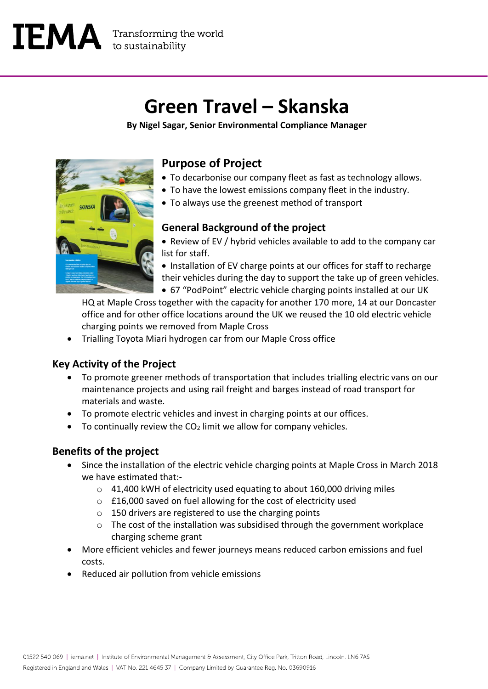# **Green Travel – Skanska**

**By Nigel Sagar, Senior Environmental Compliance Manager**



## **Purpose of Project**

- To decarbonise our company fleet as fast as technology allows.
- To have the lowest emissions company fleet in the industry.
- To always use the greenest method of transport

### **General Background of the project**

- Review of EV / hybrid vehicles available to add to the company car list for staff.
- Installation of EV charge points at our offices for staff to recharge their vehicles during the day to support the take up of green vehicles.
- 67 "PodPoint" electric vehicle charging points installed at our UK

HQ at Maple Cross together with the capacity for another 170 more, 14 at our Doncaster office and for other office locations around the UK we reused the 10 old electric vehicle charging points we removed from Maple Cross

• Trialling Toyota Miari hydrogen car from our Maple Cross office

### **Key Activity of the Project**

- To promote greener methods of transportation that includes trialling electric vans on our maintenance projects and using rail freight and barges instead of road transport for materials and waste.
- To promote electric vehicles and invest in charging points at our offices.
- To continually review the  $CO<sub>2</sub>$  limit we allow for company vehicles.

### **Benefits of the project**

- Since the installation of the electric vehicle charging points at Maple Cross in March 2018 we have estimated that:
	- o 41,400 kWH of electricity used equating to about 160,000 driving miles
	- o £16,000 saved on fuel allowing for the cost of electricity used
	- o 150 drivers are registered to use the charging points
	- o The cost of the installation was subsidised through the government workplace charging scheme grant
- More efficient vehicles and fewer journeys means reduced carbon emissions and fuel costs.
- Reduced air pollution from vehicle emissions